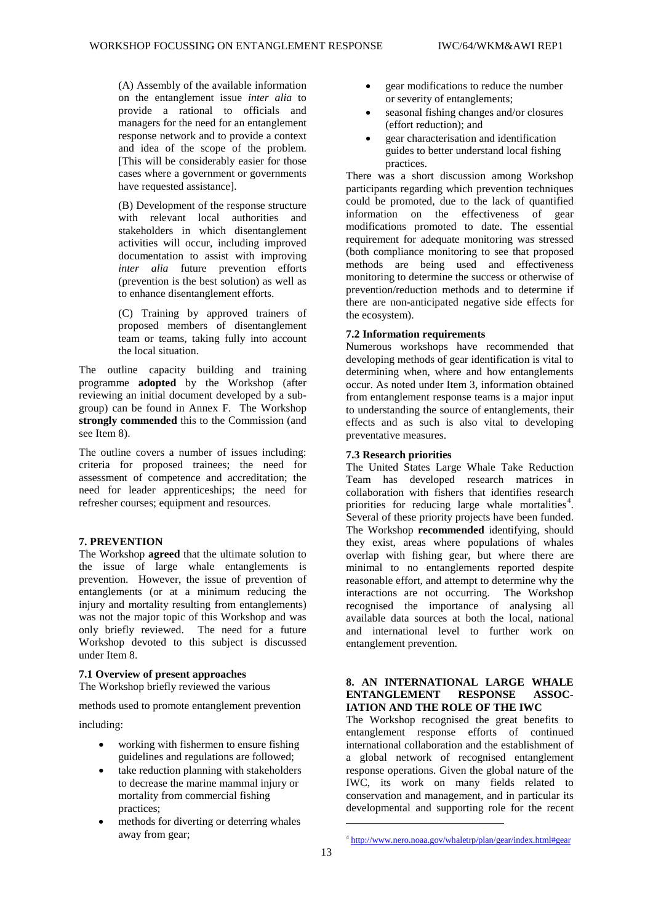[This will be considerably easier for those (A) Assembly of the available information on the entanglement issue *inter alia* to provide a rational to officials and managers for the need for an entanglement response network and to provide a context and idea of the scope of the problem. cases where a government or governments have requested assistance].

 (B) Development of the response structure (prevention is the best solution) as well as with relevant local authorities and stakeholders in which disentanglement activities will occur, including improved documentation to assist with improving *inter alia* future prevention efforts to enhance disentanglement efforts.

(C) Training by approved trainers of proposed members of disentanglement team or teams, taking fully into account the local situation.

 group) can be found in Annex F. The Workshop **strongly commended** this to the Commission (and see Item 8). The outline capacity building and training programme **adopted** by the Workshop (after reviewing an initial document developed by a sub-

 need for leader apprenticeships; the need for The outline covers a number of issues including: criteria for proposed trainees; the need for assessment of competence and accreditation; the refresher courses; equipment and resources.

### **7. PREVENTION**

 was not the major topic of this Workshop and was only briefly reviewed. The need for a future Workshop devoted to this subject is discussed under Item 8. The Workshop **agreed** that the ultimate solution to the issue of large whale entanglements is prevention. However, the issue of prevention of entanglements (or at a minimum reducing the injury and mortality resulting from entanglements)

### **7.1 Overview of present approaches**

The Workshop briefly reviewed the various

methods used to promote entanglement prevention including:

- working with fishermen to ensure fishing guidelines and regulations are followed;
- take reduction planning with stakeholders to decrease the marine mammal injury or mortality from commercial fishing practices;
- <span id="page-13-0"></span> • methods for diverting or deterring whales away from gear;
- gear modifications to reduce the number or severity of entanglements;
- seasonal fishing changes and/or closures (effort reduction); and
- gear characterisation and identification guides to better understand local fishing practices.

 participants regarding which prevention techniques There was a short discussion among Workshop could be promoted, due to the lack of quantified information on the effectiveness of gear modifications promoted to date. The essential requirement for adequate monitoring was stressed (both compliance monitoring to see that proposed methods are being used and effectiveness monitoring to determine the success or otherwise of prevention/reduction methods and to determine if there are non-anticipated negative side effects for the ecosystem).

### **7.2 Information requirements**

 developing methods of gear identification is vital to from entanglement response teams is a major input Numerous workshops have recommended that determining when, where and how entanglements occur. As noted under Item 3, information obtained to understanding the source of entanglements, their effects and as such is also vital to developing preventative measures.

### **7.3 Research priorities**

 Team has developed research matrices in priorities for reducing large whale mortalities<sup>[4](#page-13-0)</sup>. Several of these priority projects have been funded. they exist, areas where populations of whales overlap with fishing gear, but where there are interactions are not occurring. The Workshop entanglement prevention. The United States Large Whale Take Reduction collaboration with fishers that identifies research The Workshop **recommended** identifying, should minimal to no entanglements reported despite reasonable effort, and attempt to determine why the recognised the importance of analysing all available data sources at both the local, national and international level to further work on

## **8. AN INTERNATIONAL LARGE WHALE ENTANGLEMENT RESPONSE ASSOC-IATION AND THE ROLE OF THE IWC**

 entanglement response efforts of continued response operations. Given the global nature of the IWC, its work on many fields related to The Workshop recognised the great benefits to international collaboration and the establishment of a global network of recognised entanglement conservation and management, and in particular its developmental and supporting role for the recent

-

 [4 http://www.nero.noaa.gov/whaletrp/plan/gear/index.html#gear](http://www.nero.noaa.gov/whaletrp/plan/gear/index.html#gear) 13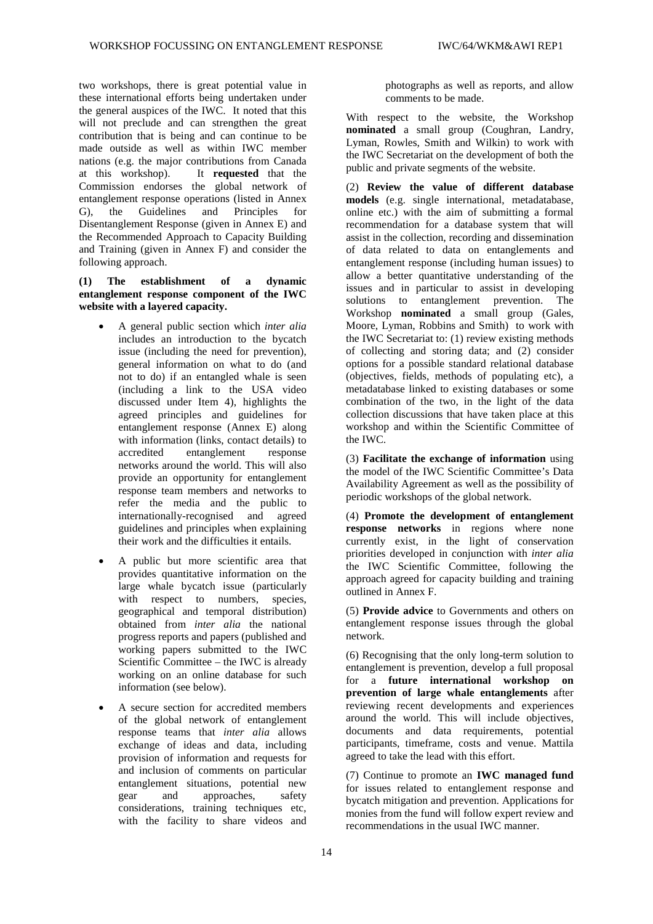the general auspices of the IWC. It noted that this will not preclude and can strengthen the great contribution that is being and can continue to be made outside as well as within IWC member nations (e.g. the major contributions from Canada Commission endorses the global network of entanglement response operations (listed in Annex the Recommended Approach to Capacity Building and Training (given in Annex F) and consider the two workshops, there is great potential value in these international efforts being undertaken under at this workshop). It **requested** that the G), the Guidelines and Principles for Disentanglement Response (given in Annex E) and following approach.

## **(1) The establishment of a dynamic entanglement response component of the IWC website with a layered capacity.**

- • A general public section which *inter alia*  issue (including the need for prevention), (including a link to the USA video agreed principles and guidelines for entanglement response (Annex E) along with information (links, contact details) to networks around the world. This will also provide an opportunity for entanglement includes an introduction to the bycatch general information on what to do (and not to do) if an entangled whale is seen discussed under Item 4), highlights the accredited entanglement response response team members and networks to refer the media and the public to internationally-recognised and agreed guidelines and principles when explaining their work and the difficulties it entails.
- Scientific Committee the IWC is already • A public but more scientific area that provides quantitative information on the large whale bycatch issue (particularly with respect to numbers, species, geographical and temporal distribution) obtained from *inter alia* the national progress reports and papers (published and working papers submitted to the IWC working on an online database for such information (see below).
- of the global network of entanglement provision of information and requests for A secure section for accredited members response teams that *inter alia* allows exchange of ideas and data, including and inclusion of comments on particular entanglement situations, potential new<br>gear and approaches. safety and approaches, safety considerations, training techniques etc, with the facility to share videos and

 comments to be made. photographs as well as reports, and allow

 With respect to the website, the Workshop **nominated** a small group (Coughran, Landry, public and private segments of the website. Lyman, Rowles, Smith and Wilkin) to work with the IWC Secretariat on the development of both the

 recommendation for a database system that will Moore, Lyman, Robbins and Smith) to work with the IWC Secretariat to: (1) review existing methods options for a possible standard relational database (objectives, fields, methods of populating etc), a (2) **Review the value of different database models** (e.g. single international, metadatabase, online etc.) with the aim of submitting a formal assist in the collection, recording and dissemination of data related to data on entanglements and entanglement response (including human issues) to allow a better quantitative understanding of the issues and in particular to assist in developing solutions to entanglement prevention. The Workshop **nominated** a small group (Gales, of collecting and storing data; and (2) consider metadatabase linked to existing databases or some combination of the two, in the light of the data collection discussions that have taken place at this workshop and within the Scientific Committee of the IWC.

 (3) **Facilitate the exchange of information** using the model of the IWC Scientific Committee's Data Availability Agreement as well as the possibility of periodic workshops of the global network.

 currently exist, in the light of conservation the IWC Scientific Committee, following the (4) **Promote the development of entanglement response networks** in regions where none priorities developed in conjunction with *inter alia*  approach agreed for capacity building and training outlined in Annex F.

 entanglement response issues through the global (5) **Provide advice** to Governments and others on network.

 (6) Recognising that the only long-term solution to for a **future international workshop on**  around the world. This will include objectives, entanglement is prevention, develop a full proposal **prevention of large whale entanglements** after reviewing recent developments and experiences documents and data requirements, potential participants, timeframe, costs and venue. Mattila agreed to take the lead with this effort.

 monies from the fund will follow expert review and (7) Continue to promote an **IWC managed fund**  for issues related to entanglement response and bycatch mitigation and prevention. Applications for recommendations in the usual IWC manner.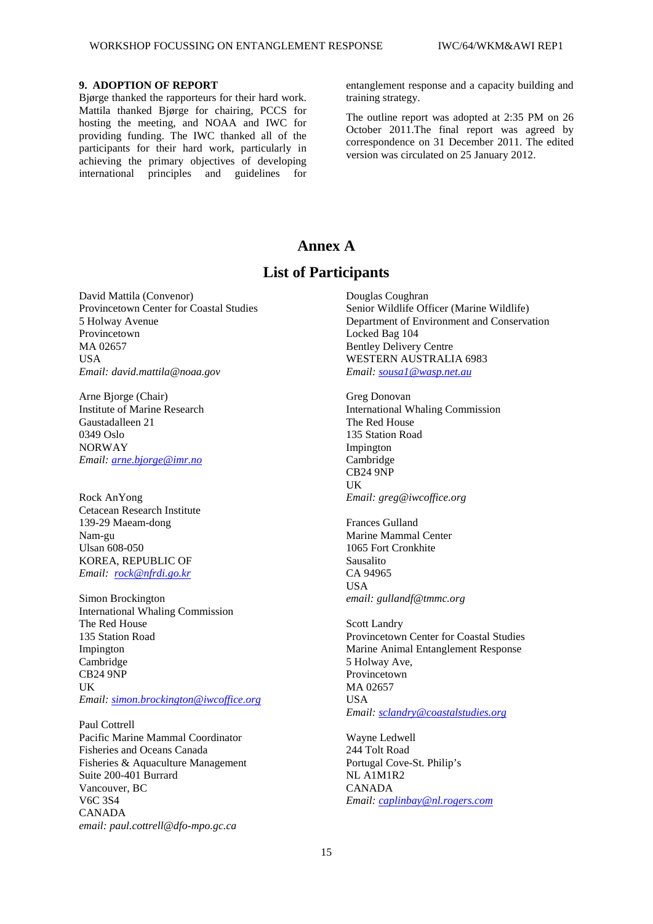## **9. ADOPTION OF REPORT**

Bjørge thanked the rapporteurs for their hard work. Bjørge thanked the rapporteurs for their hard work. Mattila thanked Bjørge for chairing, PCCS for hosting the meeting, and NOAA and IWC for participants for their hard work, particularly in providing funding. The IWC thanked all of the achieving the primary objectives of developing international principles and guidelines for

entanglement response and a capacity building and training strategy.

 The outline report was adopted at 2:35 PM on 26 correspondence on 31 December 2011. The edited October 2011.The final report was agreed by version was circulated on 25 January 2012.

## **Annex A**

# **List of Participants**

David Mattila (Convenor) Provincetown Center for Coastal Studies 5 Holway Avenue Provincetown MA 02657 **IISA** *Email: david.mattila@noaa.gov* 

Arne Bjorge (Chair) Institute of Marine Research Gaustadalleen 21 0349 Oslo NORWAY *Email[: arne.bjorge@imr.no](mailto:arne.bjorge@imr.no)* 

Rock AnYong  *Email: [rock@nfrdi.go.kr](mailto:rock@nfrdi.go.kr)*  Cetacean Research Institute 139-29 Maeam-dong Nam-gu Ulsan 608-050 KOREA, REPUBLIC OF

Simon Brockington International Whaling Commission The Red House 135 Station Road Impington Cambridge CB24 9NP **IK** *Email[: simon.brockington@iwcoffice.org](mailto:simon.brockington@iwcoffice.org)* 

Paul Cottrell Pacific Marine Mammal Coordinator Fisheries and Oceans Canada Fisheries & Aquaculture Management Suite 200-401 Burrard Vancouver, BC V6C 3S4 CANADA *email: paul.cottrell@dfo-mpo.gc.ca* 

Douglas Coughran Senior Wildlife Officer (Marine Wildlife) Department of Environment and Conservation Locked Bag 104 Bentley Delivery Centre WESTERN AUSTRALIA 6983 *Email: [sousa1@wasp.net.au](mailto:sousa1@wasp.net.au)* 

Greg Donovan International Whaling Commission The Red House 135 Station Road Impington Cambridge CB24 9NP UK *Email: greg@iwcoffice.org* 

 Frances Gulland Marine Mammal Center 1065 Fort Cronkhite Sausalito CA 94965 **IISA** *email: gullandf@tmmc.org* 

 5 Holway Ave, Scott Landry Provincetown Center for Coastal Studies Marine Animal Entanglement Response Provincetown MA 02657 USA *Email: [sclandry@coastalstudies.org](mailto:sclandry@coastalstudies.org)* 

Wayne Ledwell 244 Tolt Road Portugal Cove-St. Philip's NL A1M1R2 CANADA *Email: [caplinbay@nl.rogers.com](mailto:caplinbay@nl.rogers.com)*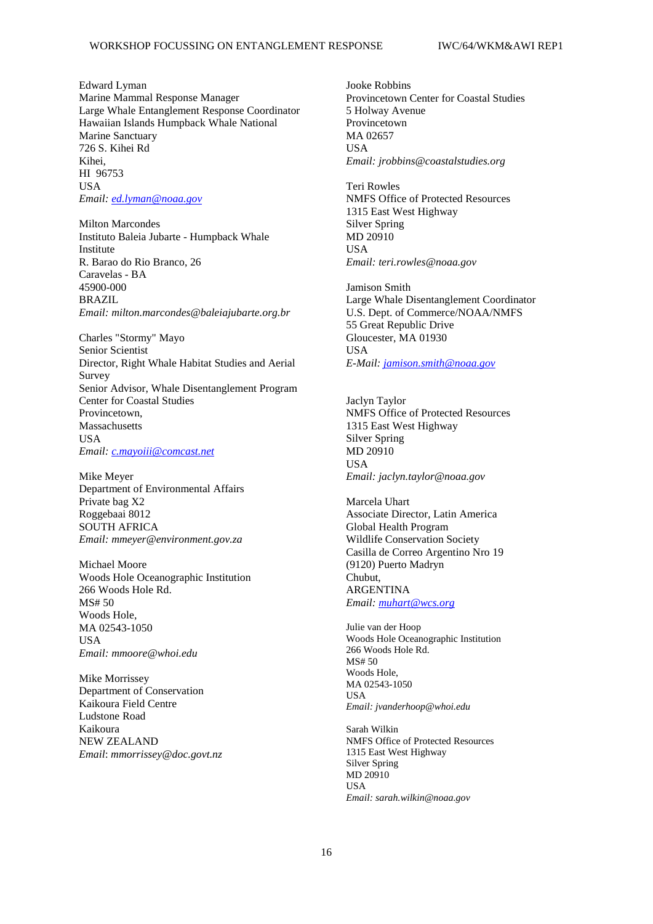HI 96753 Edward Lyman Marine Mammal Response Manager Large Whale Entanglement Response Coordinator Hawaiian Islands Humpback Whale National Marine Sanctuary 726 S. Kihei Rd Kihei, USA *Email[: ed.lyman@noaa.gov](mailto:ed.lyman@noaa.gov)* 

**Milton Marcondes**  Caravelas - BA Instituto Baleia Jubarte - Humpback Whale Institute R. Barao do Rio Branco, 26 45900-000 BRAZIL *Email: milton.marcondes@baleiajubarte.org.br* 

Charles "Stormy" Mayo Senior Scientist Director, Right Whale Habitat Studies and Aerial Survey Senior Advisor, Whale Disentanglement Program Center for Coastal Studies Provincetown, Massachusetts **USA** *Email[: c.mayoiii@comcast.net](mailto:c.mayoiii@comcast.net)* 

Mike Meyer Department of Environmental Affairs Private bag X2 Roggebaai 8012 SOUTH AFRICA *Email: mmeyer@environment.gov.za* 

Michael Moore Woods Hole Oceanographic Institution 266 Woods Hole Rd. MS# 50 Woods Hole, MA 02543-1050 **USA** *Email: mmoore@whoi.edu* 

Mike Morrissey Department of Conservation Kaikoura Field Centre Ludstone Road Kaikoura NEW ZEALAND *Email*: *mmorrissey@doc.govt.nz* 

Jooke Robbins Provincetown Center for Coastal Studies 5 Holway Avenue Provincetown MA 02657 USA *Email: jrobbins@coastalstudies.org* 

**Teri Rowles** NMFS Office of Protected Resources 1315 East West Highway Silver Spring MD 20910 **IISA** *Email: teri.rowles@noaa.gov* 

Jamison Smith Large Whale Disentanglement Coordinator U.S. Dept. of Commerce/NOAA/NMFS 55 Great Republic Drive Gloucester, MA 01930 **IISA** *E-Mail: [jamison.smith@noaa.gov](mailto:jamison.smith@noaa.gov)* 

 Jaclyn Taylor NMFS Office of Protected Resources 1315 East West Highway Silver Spring MD 20910 USA *Email: jaclyn.taylor@noaa.gov* 

Marcela Uhart Associate Director, Latin America Global Health Program Wildlife Conservation Society Casilla de Correo Argentino Nro 19 (9120) Puerto Madryn Chubut, ARGENTINA *Email: [muhart@wcs.org](mailto:muhart@wcs.org)* 

Julie van der Hoop Woods Hole Oceanographic Institution 266 Woods Hole Rd. MS# 50 Woods Hole, MA 02543-1050 USA *Email: jvanderhoop@whoi.edu* 

Sarah Wilkin NMFS Office of Protected Resources 1315 East West Highway Silver Spring MD 20910 **USA** *Email: sarah.wilkin@noaa.gov*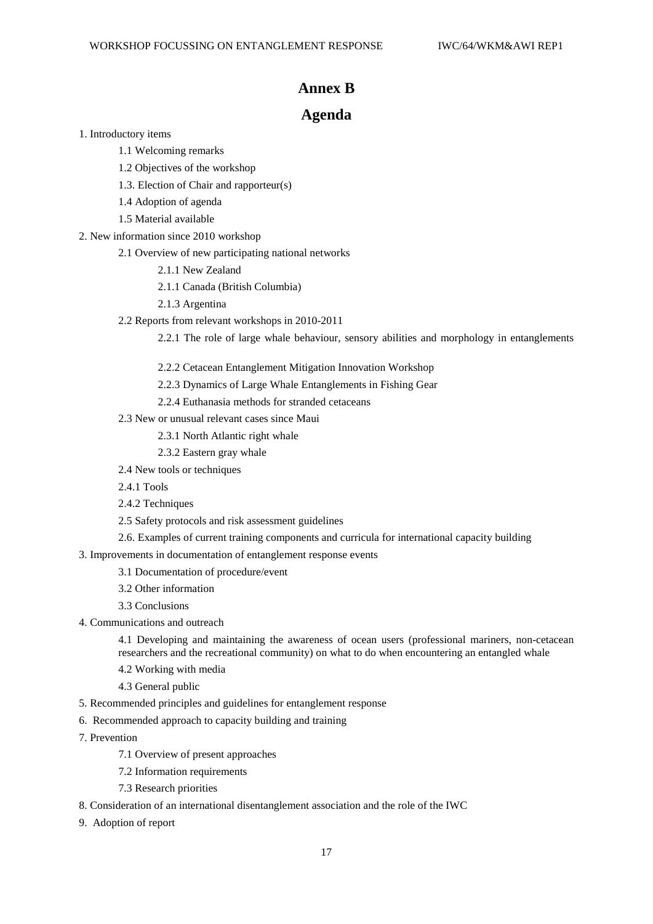## **Annex B**

# **Agenda**

- 1. Introductory items
	- 1.1 Welcoming remarks
	- 1.2 Objectives of the workshop
	- 1.3. Election of Chair and rapporteur(s)
	- 1.4 Adoption of agenda
	- 1.5 Material available
- 2. New information since 2010 workshop
- 2.1 Overview of new participating national networks 1. Introductory items<br>
1.1 Welcoming remarks<br>
1.2 Objectives of the workshop<br>
1.3. Election of Chair and rapporteur(s)<br>
1.4 Adoption of agenda<br>
1.5 Material available<br>
2. New information since 2010 workshop<br>
2.1 Overview o
	- 2.1.1 New Zealand
	- 2.1.1 Canada (British Columbia)
	- 2.1.3 Argentina
	- 2.2 Reports from relevant workshops in 2010-2011

2.2.1 The role of large whale behaviour, sensory abilities and morphology in entanglements

- 2.2.2 Cetacean Entanglement Mitigation Innovation Workshop 2.2.2 Cetacean Entanglement Mitigation Innovation Workshop<br>2.2.3 Dynamics of Large Whale Entanglements in Fishing Gear<br>2.2.4 Euthanasia methods for stranded cetaceans<br>2.3 New or unusual relevant cases since Maui<br>2.3.1 Nort
	- 2.2.3 Dynamics of Large Whale Entanglements in Fishing Gear

2.2.4 Euthanasia methods for stranded cetaceans

- 2.3 New or unusual relevant cases since Maui
	- 2.3.1 North Atlantic right whale
	- 2.3.2 Eastern gray whale
- 2.4 New tools or techniques
- 2.4.1 Tools
- 2.4.2 Techniques
- 2.5 Safety protocols and risk assessment guidelines
- 2.6. Examples of current training components and curricula for international capacity building
- 3. Improvements in documentation of entanglement response events
	- 3.1 Documentation of procedure/event
	- 3.2 Other information
	- 3.3 Conclusions
- 4. Communications and outreach

4.1 Developing and maintaining the awareness of ocean users (professional mariners, non-cetacean researchers and the recreational community) on what to do when encountering an entangled whale 2.4 New tools or techniques<br>
2.4.1 Tools<br>
2.4.2 Techniques<br>
2.5 Safety protocols and risk assessment guidelines<br>
2.6. Examples of current training components and curricula for international capacity building<br>
3. Improvemen researchers and the recreational community) on what to do when encountering an entangled whale<br>4.2 Working with media<br>4.3 General public<br>5. Recommended principles and guidelines for entanglement response<br>6. Recommended app

- 4.2 Working with media
- 4.3 General public
- 5. Recommended principles and guidelines for entanglement response
- 6. Recommended approach to capacity building and training
- 7. Prevention
	- 7.1 Overview of present approaches
	- 7.2 Information requirements
	- 7.3 Research priorities
- 7.1 Overview of present approaches 7.2 Information requirements 7.3 Research priorities 8. Consideration of an international disentanglement association and the role of the IWC 9. Adoption of report 17
- 9. Adoption of report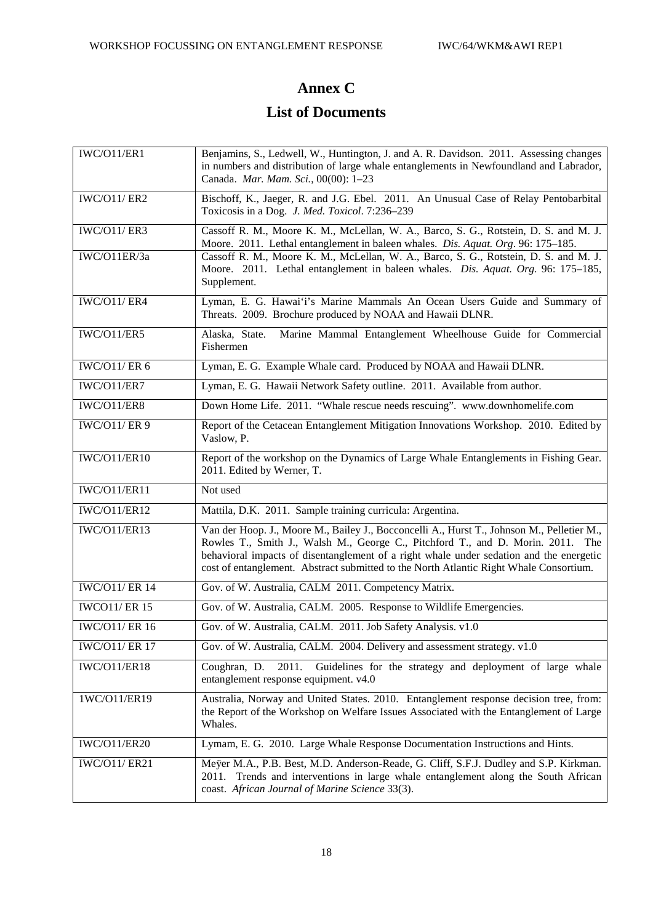#### Edward Lyman

Marine Mammal Response Manager Large Whale Entanglement Response Coordinator Hawaiian Islands Humpback Whale National **Marine Sanctuary** 726 S. Kihei Rd Kihei. HI 96753 **IISA** Email: ed.lyman@noaa.gov

**Milton Marcondes** Instituto Baleia Jubarte - Humpback Whale Institute R. Barao do Rio Branco, 26 Caravelas - BA 45900-000 **BRAZIL** Email: milton.marcondes@baleiajubarte.org.br

Charles "Stormy" Mayo Senior Scientist Director, Right Whale Habitat Studies and Aerial Survey Senior Advisor, Whale Disentanglement Program **Center for Coastal Studies** Provincetown. Massachusetts **USA** Email: c.mayoiii@comcast.net

Mike Meyer Department of Environmental Affairs Private bag X2 Roggebaai 8012 **SOUTH AFRICA** Email: mmeyer@environmentov.za

Michael Moore Woods Hole Oceanographic Institution 266 Woods Hole Rd.  $MS# 50$ Woods Hole. MA 02543-1050 **IISA** Email: mmoore@whoi.edu

Mike Morrissey Department of Conservation Kaikoura Field Centre **Ludstone Road** Kaikoura **NEW ZEALAND** Email: mmorrissey@doc.govt.nz

**Jooke Robbins** Provincetown Center for Coastal Studies 5 Holway Avenue Provincetown MA 02657 **USA** Email: jrobbins@coastalstudies.org

**Teri Rowles NMFS Office of Protected Resources** 1315 East West Highway **Silver Spring** MD 20910 **IISA** Email: teri.rowles@noaa.gov

Jamison Smith Large Whale Disentanglement Coordinator U.S. Dept. of Commerce/NOAA/NMFS 55 Great Republic Drive Gloucester, MA 01930 **IISA** E-Mail: jamison.smith@noaa.gov

Jaclyn Taylor **NMFS Office of Protected Resources** 1315 East West Highway **Silver Spring** MD 20910 **USA** Email: jaclyn.taylor@noaa.gov

Marcela Uhart Associate Director, Latin America Global Health Program **Wildlife Conservation Society** Casilla de Correo Argentino Nro 19 (9120) Puerto Madryn Chubut. **ARGENTINA** Email: muhart@wcs.org

Julie van der Hoop Woods Hole Oceanographic Institution 266 Woods Hole Rd. MS# 50 Woods Hole, MA 02543-1050 **USA** Email: jvanderhoop@whoi.edu

Sarah Wilkin **NMFS Office of Protected Resources** 1315 East West Highway **Silver Spring** MD 20910 **IISA** Email: sarah.wilkin@noaa.gov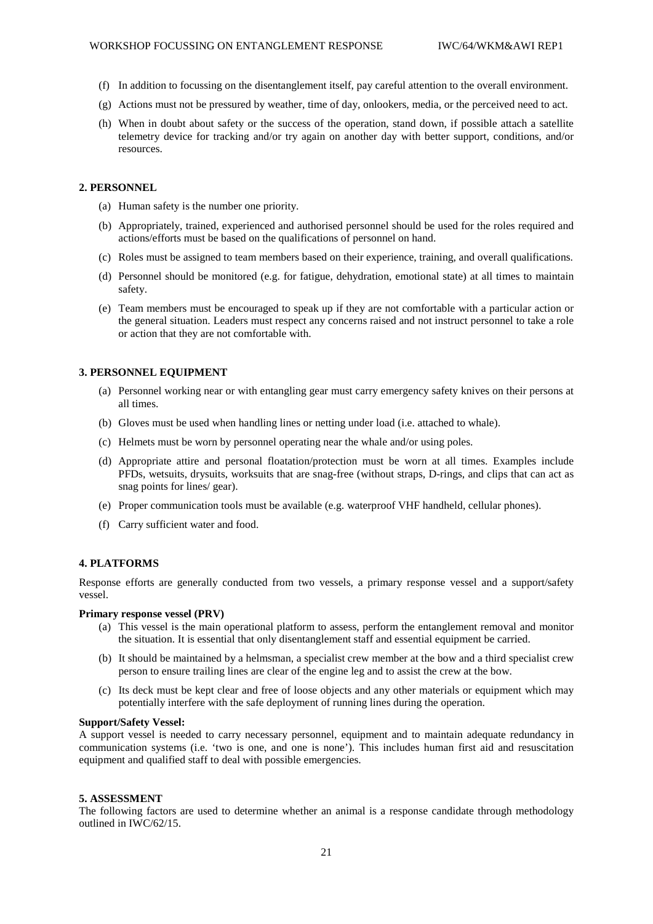## 9. ADOPTION OF REPORT

Bjørge thanked the rapporteurs for their hard work. Mattila thanked Bjørge for chairing, PCCS for hosting the meeting, and NOAA and IWC for providing funding. The IWC thanked all of the participants for their hard work, particularly in achieving the primary objectives of developing international principles and guidelines  $\overline{f}$  for

entanglement response and a capacity building and training strategy.

The outline report was adopted at 2:35 PM on 26 October 2011. The final report was agreed by correspondence on 31 December 2011. The edited version was circulated on 25 January 2012.

# Annex A

# **List of Participants**

David Mattila (Convenor) Provincetown Center for Coastal Studies 5 Holway Avenue Provincetown MA 02657 **IISA** Email: david.mattila@noaa.gov

Arne Bjorge (Chair) **Institute of Marine Research** Gaustadalleen 21  $0349$  Oslo **NORWAY** Email: arne.bjorge@imr.no

Rock AnYong Cetacean Research Institute 139-29 Maeam-dong Nam-gu **Ulsan 608-050** KOREA, REPUBLIC OF Email: rock@nfrdi.go.kr

Simon Brockington **International Whaling Commission** The Red House 135 Station Road Impington Cambridge **CB24 9NP IIK** Email: simon.brockington@iwcoffice.org

Paul Cottrell Pacific Marine Mammal Coordinator Fisheries and Oceans Canada Fisheries & Aquaculture Management Suite 200-401 Burrard Vancouver, BC **V6C 3S4** CANADA email: paul.cottrell@dfampo.gc.ca

Douglas Coughran Senior Wildlife Officer (Marine Wildlife) Department of Environment and Conservation Locked Bag 104 **Bentley Delivery Centre WESTERN AUSTRALIA 6983** Email: sousa1@wasp.net.au

Greg Donovan **International Whaling Commission** The Red House 135 Station Road Impington Cambridge **CB24 9NP** UK Email: greg@iwcoffice.org

**Frances Gulland** Marine Mammal Center 1065 Fort Cronkhite Sausalito CA 94965 **IISA** email: gullandf@tmmc.org

**Scott Landry** Provincetown Center for Coastal Studies Marine Animal Entanglement Response 5 Holway Ave, Provincetown MA 02657 **USA** Email: sclandry@coastalstudies.org

Wayne Ledwell 244 Tolt Road Portugal Cove-St. Philip's NL A1M1R2 **CANADA** Email: caplinbay@nl.rogers.com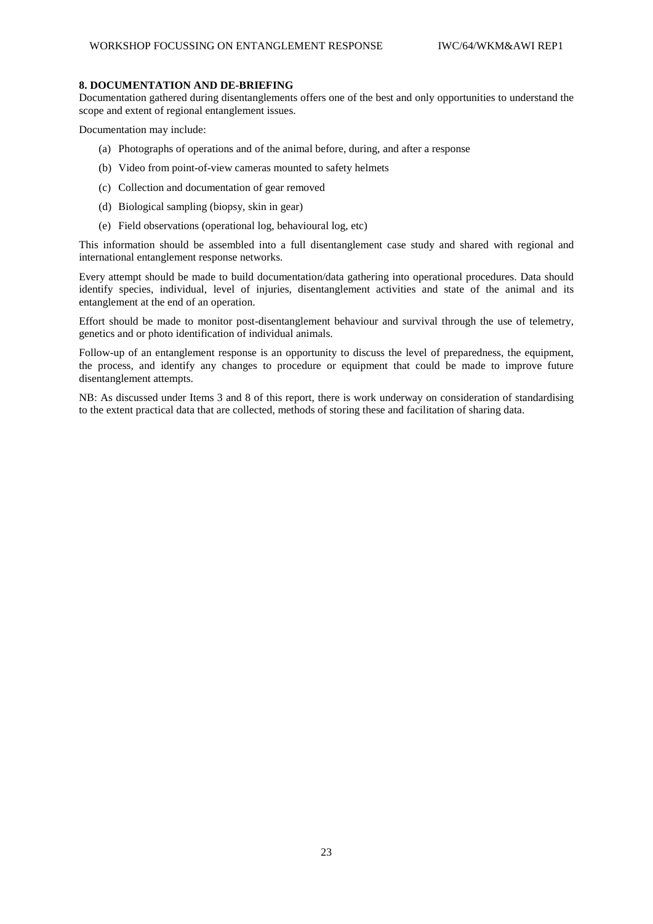## **8. DOCUMENTATION AND DE-BRIEFING**

Documentation gathered during disentanglements offers one of the best and only opportunities to understand the scope and extent of regional entanglement issues.

Documentation may include:

- (a) Photographs of operations and of the animal before, during, and after a response
- (b) Video from point-of-view cameras mounted to safety helmets
- (c) Collection and documentation of gear removed
- (d) Biological sampling (biopsy, skin in gear)
- (e) Field observations (operational log, behavioural log, etc)

This information should be assembled into a full disentanglement case study and shared with regional and international entanglement response networks.

 Every attempt should be made to build documentation/data gathering into operational procedures. Data should identify species, individual, level of injuries, disentanglement activities and state of the animal and its entanglement at the end of an operation.

 Effort should be made to monitor post-disentanglement behaviour and survival through the use of telemetry, genetics and or photo identification of individual animals.

Follow-up of an entanglement response is an opportunity to discuss the level of preparedness, the equipment, the process, and identify any changes to procedure or equipment that could be made to improve future disentanglement attempts.

 NB: As discussed under Items 3 and 8 of this report, there is work underway on consideration of standardising to the extent practical data that are collected, methods of storing these and facilitation of sharing data.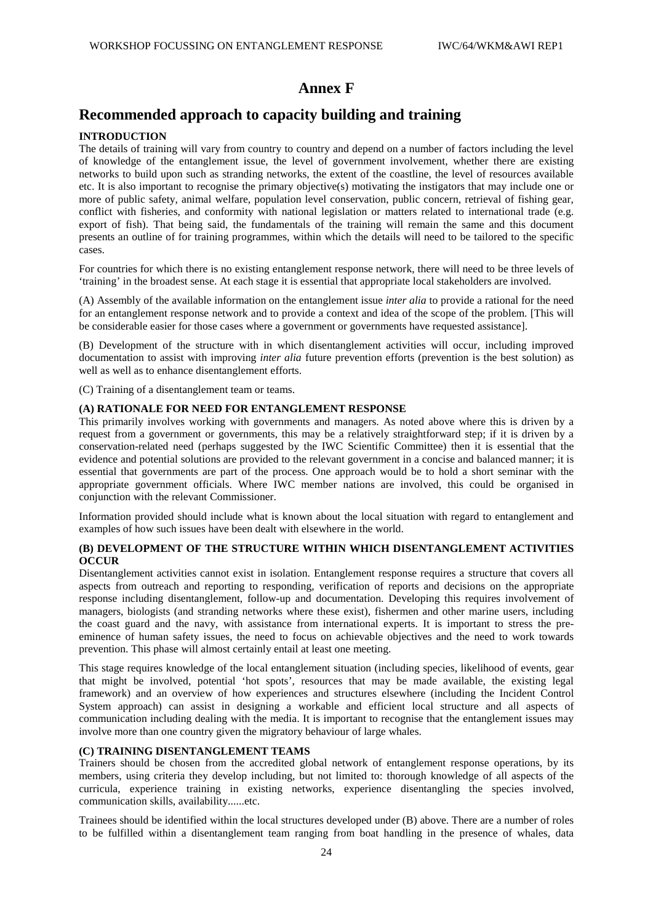## **Annex F**

# **Recommended approach to capacity building and training**

### **INTRODUCTION**

 The details of training will vary from country to country and depend on a number of factors including the level more of public safety, animal welfare, population level conservation, public concern, retrieval of fishing gear, presents an outline of for training programmes, within which the details will need to be tailored to the specific of knowledge of the entanglement issue, the level of government involvement, whether there are existing networks to build upon such as stranding networks, the extent of the coastline, the level of resources available etc. It is also important to recognise the primary objective(s) motivating the instigators that may include one or conflict with fisheries, and conformity with national legislation or matters related to international trade (e.g. export of fish). That being said, the fundamentals of the training will remain the same and this document cases.

For countries for which there is no existing entanglement response network, there will need to be three levels of 'training' in the broadest sense. At each stage it is essential that appropriate local stakeholders are involved.

 for an entanglement response network and to provide a context and idea of the scope of the problem. [This will (A) Assembly of the available information on the entanglement issue *inter alia* to provide a rational for the need be considerable easier for those cases where a government or governments have requested assistance].

 (B) Development of the structure with in which disentanglement activities will occur, including improved documentation to assist with improving *inter alia* future prevention efforts (prevention is the best solution) as well as well as to enhance disentanglement efforts.

(C) Training of a disentanglement team or teams.

### **(A) RATIONALE FOR NEED FOR ENTANGLEMENT RESPONSE**

 This primarily involves working with governments and managers. As noted above where this is driven by a request from a government or governments, this may be a relatively straightforward step; if it is driven by a evidence and potential solutions are provided to the relevant government in a concise and balanced manner; it is essential that governments are part of the process. One approach would be to hold a short seminar with the conservation-related need (perhaps suggested by the IWC Scientific Committee) then it is essential that the appropriate government officials. Where IWC member nations are involved, this could be organised in conjunction with the relevant Commissioner.

 examples of how such issues have been dealt with elsewhere in the world. Information provided should include what is known about the local situation with regard to entanglement and

### **(B) DEVELOPMENT OF THE STRUCTURE WITHIN WHICH DISENTANGLEMENT ACTIVITIES OCCUR**

 managers, biologists (and stranding networks where these exist), fishermen and other marine users, including the coast guard and the navy, with assistance from international experts. It is important to stress the pre-Disentanglement activities cannot exist in isolation. Entanglement response requires a structure that covers all aspects from outreach and reporting to responding, verification of reports and decisions on the appropriate response including disentanglement, follow-up and documentation. Developing this requires involvement of eminence of human safety issues, the need to focus on achievable objectives and the need to work towards prevention. This phase will almost certainly entail at least one meeting.

 This stage requires knowledge of the local entanglement situation (including species, likelihood of events, gear framework) and an overview of how experiences and structures elsewhere (including the Incident Control System approach) can assist in designing a workable and efficient local structure and all aspects of communication including dealing with the media. It is important to recognise that the entanglement issues may that might be involved, potential 'hot spots', resources that may be made available, the existing legal involve more than one country given the migratory behaviour of large whales.

### **(C) TRAINING DISENTANGLEMENT TEAMS**

 members, using criteria they develop including, but not limited to: thorough knowledge of all aspects of the Trainers should be chosen from the accredited global network of entanglement response operations, by its curricula, experience training in existing networks, experience disentangling the species involved, communication skills, availability......etc.

Trainees should be identified within the local structures developed under (B) above. There are a number of roles to be fulfilled within a disentanglement team ranging from boat handling in the presence of whales, data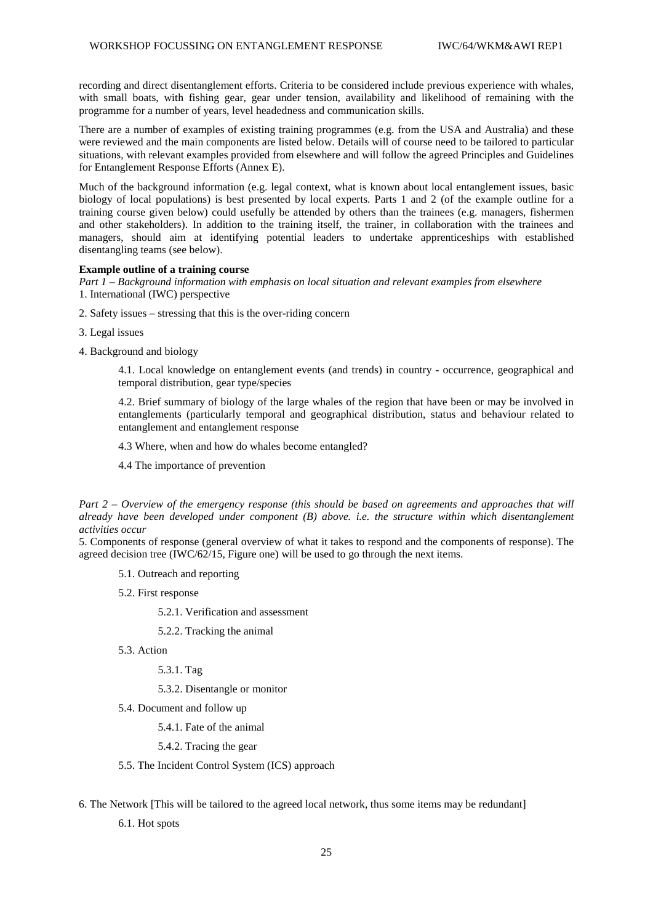recording and direct disentanglement efforts. Criteria to be considered include previous experience with whales, with small boats, with fishing gear, gear under tension, availability and likelihood of remaining with the programme for a number of years, level headedness and communication skills.

 situations, with relevant examples provided from elsewhere and will follow the agreed Principles and Guidelines There are a number of examples of existing training programmes (e.g. from the USA and Australia) and these were reviewed and the main components are listed below. Details will of course need to be tailored to particular for Entanglement Response Efforts (Annex E).

 Much of the background information (e.g. legal context, what is known about local entanglement issues, basic biology of local populations) is best presented by local experts. Parts 1 and 2 (of the example outline for a training course given below) could usefully be attended by others than the trainees (e.g. managers, fishermen and other stakeholders). In addition to the training itself, the trainer, in collaboration with the trainees and managers, should aim at identifying potential leaders to undertake apprenticeships with established disentangling teams (see below).

### **Example outline of a training course**

*Part 1 – Background information with emphasis on local situation and relevant examples from elsewhere*  1. International (IWC) perspective

- 2. Safety issues stressing that this is the over-riding concern
- 3. Legal issues
- 4. Background and biology

4.1. Local knowledge on entanglement events (and trends) in country - occurrence, geographical and temporal distribution, gear type/species

 4.2. Brief summary of biology of the large whales of the region that have been or may be involved in entanglements (particularly temporal and geographical distribution, status and behaviour related to entanglement and entanglement response

4.3 Where, when and how do whales become entangled?

4.4 The importance of prevention

*Part 2 – Overview of the emergency response (this should be based on agreements and approaches that will already have been developed under component (B) above. i.e. the structure within which disentanglement activities occur* 

5. Components of response (general overview of what it takes to respond and the components of response). The agreed decision tree (IWC/62/15, Figure one) will be used to go through the next items.

- 5.1. Outreach and reporting
- 5.2. First response

5.2.1. Verification and assessment

### 5.2.2. Tracking the animal

5.3. Action

5.3.1. Tag

5.3.2. Disentangle or monitor

5.4. Document and follow up

5.4.1. Fate of the animal

5.4.2. Tracing the gear

- 5.5. The Incident Control System (ICS) approach
- 6. The Network [This will be tailored to the agreed local network, thus some items may be redundant]

6.1. Hot spots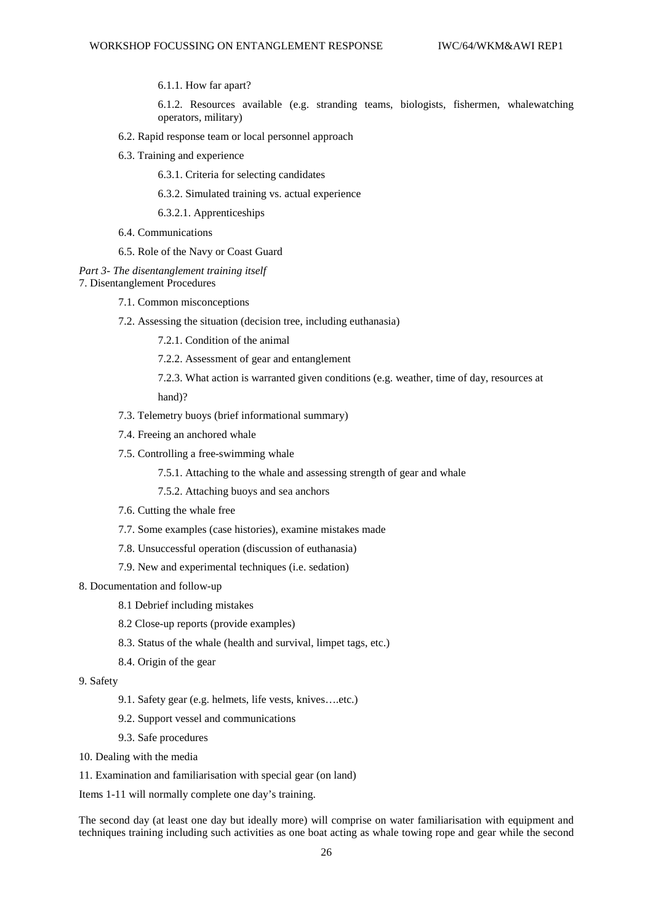6.1.1. How far apart?

operators, military) 6.1.2. Resources available (e.g. stranding teams, biologists, fishermen, whalewatching

- 6.2. Rapid response team or local personnel approach
- 6.3. Training and experience

6.3.1. Criteria for selecting candidates

6.3.2. Simulated training vs. actual experience

6.3.2.1. Apprenticeships

- 6.4. Communications
- 6.5. Role of the Navy or Coast Guard

*Part 3- The disentanglement training itself*  7. Disentanglement Procedures

- 7.1. Common misconceptions
- 7.2. Assessing the situation (decision tree, including euthanasia)

7.2.1. Condition of the animal

- 7.2.2. Assessment of gear and entanglement
- 7.2.3. What action is warranted given conditions (e.g. weather, time of day, resources at

hand)?

- 7.3. Telemetry buoys (brief informational summary)
- 7.4. Freeing an anchored whale
- 7.5. Controlling a free-swimming whale
	- 7.5.1. Attaching to the whale and assessing strength of gear and whale

7.5.2. Attaching buoys and sea anchors

- 7.6. Cutting the whale free
- 7.7. Some examples (case histories), examine mistakes made
- 7.8. Unsuccessful operation (discussion of euthanasia)
- 7.9. New and experimental techniques (i.e. sedation)
- 8. Documentation and follow-up
	- 8.1 Debrief including mistakes
	- 8.2 Close-up reports (provide examples)
	- 8.3. Status of the whale (health and survival, limpet tags, etc.)
	- 8.4. Origin of the gear
- 9. Safety
	- 9.1. Safety gear (e.g. helmets, life vests, knives….etc.)
	- 9.2. Support vessel and communications
	- 9.3. Safe procedures
- 10. Dealing with the media

11. Examination and familiarisation with special gear (on land)

Items 1-11 will normally complete one day's training.

 The second day (at least one day but ideally more) will comprise on water familiarisation with equipment and techniques training including such activities as one boat acting as whale towing rope and gear while the second